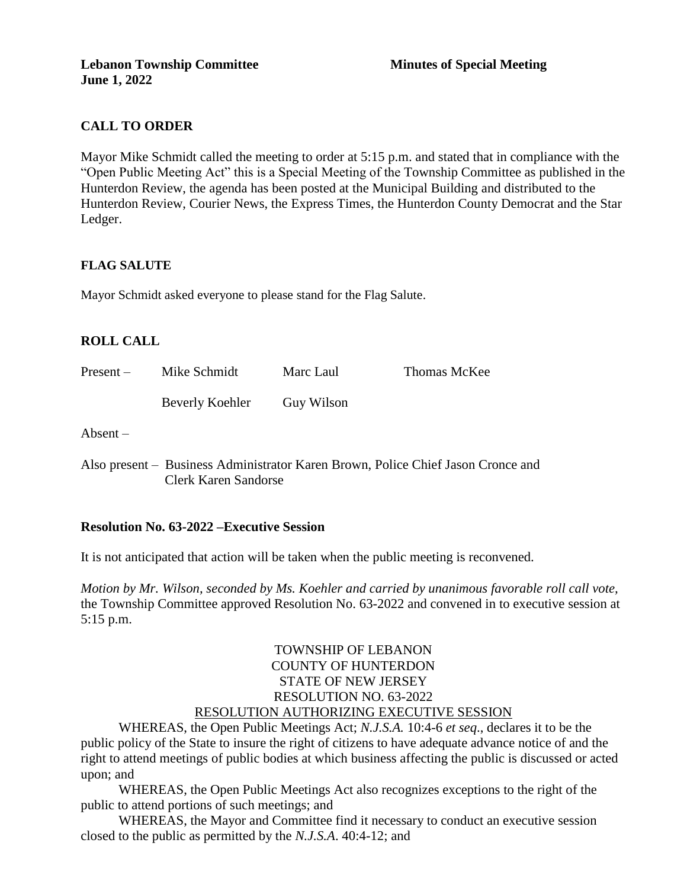### **CALL TO ORDER**

Mayor Mike Schmidt called the meeting to order at 5:15 p.m. and stated that in compliance with the "Open Public Meeting Act" this is a Special Meeting of the Township Committee as published in the Hunterdon Review, the agenda has been posted at the Municipal Building and distributed to the Hunterdon Review, Courier News, the Express Times, the Hunterdon County Democrat and the Star Ledger.

#### **FLAG SALUTE**

Mayor Schmidt asked everyone to please stand for the Flag Salute.

### **ROLL CALL**

| $Present -$     | Mike Schmidt    | Marc Laul  | Thomas McKee |
|-----------------|-----------------|------------|--------------|
|                 | Beverly Koehler | Guy Wilson |              |
| $\Lambda$ hoomt |                 |            |              |

Absent –

Also present – Business Administrator Karen Brown, Police Chief Jason Cronce and Clerk Karen Sandorse

#### **Resolution No. 63-2022 –Executive Session**

It is not anticipated that action will be taken when the public meeting is reconvened.

*Motion by Mr. Wilson, seconded by Ms. Koehler and carried by unanimous favorable roll call vote,* the Township Committee approved Resolution No. 63-2022 and convened in to executive session at 5:15 p.m.

#### TOWNSHIP OF LEBANON COUNTY OF HUNTERDON STATE OF NEW JERSEY RESOLUTION NO. 63-2022 RESOLUTION AUTHORIZING EXECUTIVE SESSION

WHEREAS, the Open Public Meetings Act; *N.J.S.A.* 10:4-6 *et seq*., declares it to be the public policy of the State to insure the right of citizens to have adequate advance notice of and the right to attend meetings of public bodies at which business affecting the public is discussed or acted upon; and

WHEREAS, the Open Public Meetings Act also recognizes exceptions to the right of the public to attend portions of such meetings; and

WHEREAS, the Mayor and Committee find it necessary to conduct an executive session closed to the public as permitted by the *N.J.S.A*. 40:4-12; and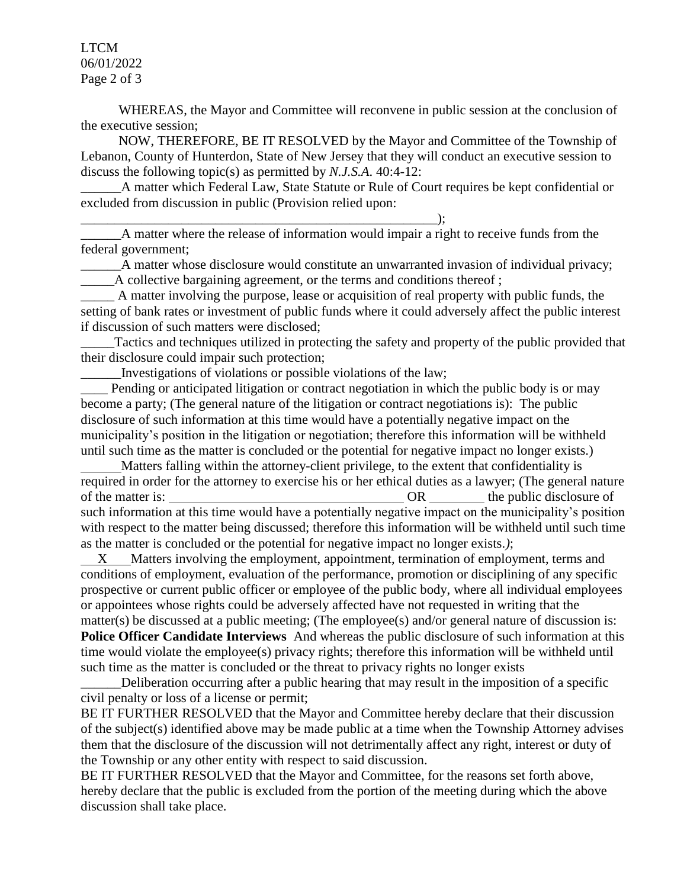LTCM 06/01/2022 Page 2 of 3

WHEREAS, the Mayor and Committee will reconvene in public session at the conclusion of the executive session;

NOW, THEREFORE, BE IT RESOLVED by the Mayor and Committee of the Township of Lebanon, County of Hunterdon, State of New Jersey that they will conduct an executive session to discuss the following topic(s) as permitted by *N.J.S.A*. 40:4-12:

A matter which Federal Law, State Statute or Rule of Court requires be kept confidential or excluded from discussion in public (Provision relied upon:

 $\qquad \qquad ; \qquad$ 

A matter where the release of information would impair a right to receive funds from the federal government;

A matter whose disclosure would constitute an unwarranted invasion of individual privacy; A collective bargaining agreement, or the terms and conditions thereof;

A matter involving the purpose, lease or acquisition of real property with public funds, the setting of bank rates or investment of public funds where it could adversely affect the public interest if discussion of such matters were disclosed;

Tactics and techniques utilized in protecting the safety and property of the public provided that their disclosure could impair such protection;

\_\_\_\_\_\_Investigations of violations or possible violations of the law;

Pending or anticipated litigation or contract negotiation in which the public body is or may become a party; (The general nature of the litigation or contract negotiations is): The public disclosure of such information at this time would have a potentially negative impact on the municipality's position in the litigation or negotiation; therefore this information will be withheld until such time as the matter is concluded or the potential for negative impact no longer exists.)

 Matters falling within the attorney-client privilege, to the extent that confidentiality is required in order for the attorney to exercise his or her ethical duties as a lawyer; (The general nature of the matter is: OR the public disclosure of such information at this time would have a potentially negative impact on the municipality's position with respect to the matter being discussed; therefore this information will be withheld until such time as the matter is concluded or the potential for negative impact no longer exists.*)*;

 X Matters involving the employment, appointment, termination of employment, terms and conditions of employment, evaluation of the performance, promotion or disciplining of any specific prospective or current public officer or employee of the public body, where all individual employees or appointees whose rights could be adversely affected have not requested in writing that the matter(s) be discussed at a public meeting; (The employee(s) and/or general nature of discussion is: **Police Officer Candidate Interviews** And whereas the public disclosure of such information at this time would violate the employee(s) privacy rights; therefore this information will be withheld until such time as the matter is concluded or the threat to privacy rights no longer exists

\_\_\_\_\_\_Deliberation occurring after a public hearing that may result in the imposition of a specific civil penalty or loss of a license or permit;

BE IT FURTHER RESOLVED that the Mayor and Committee hereby declare that their discussion of the subject(s) identified above may be made public at a time when the Township Attorney advises them that the disclosure of the discussion will not detrimentally affect any right, interest or duty of the Township or any other entity with respect to said discussion.

BE IT FURTHER RESOLVED that the Mayor and Committee, for the reasons set forth above, hereby declare that the public is excluded from the portion of the meeting during which the above discussion shall take place.